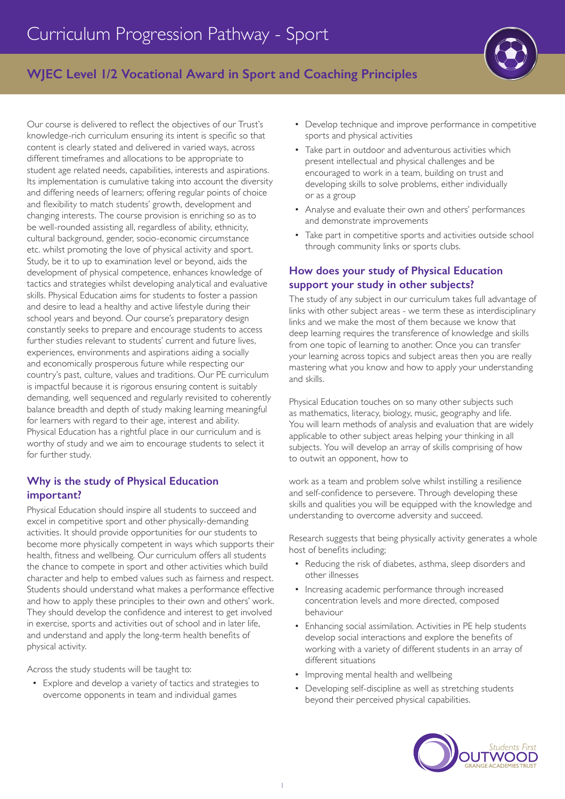

# **WJEC Level 1/2 Vocational Award in Sport and Coaching Principles**

Our course is delivered to reflect the objectives of our Trust's knowledge-rich curriculum ensuring its intent is specific so that content is clearly stated and delivered in varied ways, across different timeframes and allocations to be appropriate to student age related needs, capabilities, interests and aspirations. Its implementation is cumulative taking into account the diversity and differing needs of learners; offering regular points of choice and flexibility to match students' growth, development and changing interests. The course provision is enriching so as to be well-rounded assisting all, regardless of ability, ethnicity, cultural background, gender, socio-economic circumstance etc. whilst promoting the love of physical activity and sport. Study, be it to up to examination level or beyond, aids the development of physical competence, enhances knowledge of tactics and strategies whilst developing analytical and evaluative skills. Physical Education aims for students to foster a passion and desire to lead a healthy and active lifestyle during their school years and beyond. Our course's preparatory design constantly seeks to prepare and encourage students to access further studies relevant to students' current and future lives, experiences, environments and aspirations aiding a socially and economically prosperous future while respecting our country's past, culture, values and traditions. Our PE curriculum is impactful because it is rigorous ensuring content is suitably demanding, well sequenced and regularly revisited to coherently balance breadth and depth of study making learning meaningful for learners with regard to their age, interest and ability. Physical Education has a rightful place in our curriculum and is worthy of study and we aim to encourage students to select it for further study.

# **Why is the study of Physical Education important?**

Physical Education should inspire all students to succeed and excel in competitive sport and other physically-demanding activities. It should provide opportunities for our students to become more physically competent in ways which supports their health, fitness and wellbeing. Our curriculum offers all students the chance to compete in sport and other activities which build character and help to embed values such as fairness and respect. Students should understand what makes a performance effective and how to apply these principles to their own and others' work. They should develop the confidence and interest to get involved in exercise, sports and activities out of school and in later life, and understand and apply the long-term health benefits of physical activity.

Across the study students will be taught to:

• Explore and develop a variety of tactics and strategies to overcome opponents in team and individual games

- Develop technique and improve performance in competitive sports and physical activities
- Take part in outdoor and adventurous activities which present intellectual and physical challenges and be encouraged to work in a team, building on trust and developing skills to solve problems, either individually or as a group
- Analyse and evaluate their own and others' performances and demonstrate improvements
- Take part in competitive sports and activities outside school through community links or sports clubs.

## **How does your study of Physical Education support your study in other subjects?**

The study of any subject in our curriculum takes full advantage of links with other subject areas - we term these as interdisciplinary links and we make the most of them because we know that deep learning requires the transference of knowledge and skills from one topic of learning to another. Once you can transfer your learning across topics and subject areas then you are really mastering what you know and how to apply your understanding and skills.

Physical Education touches on so many other subjects such as mathematics, literacy, biology, music, geography and life. You will learn methods of analysis and evaluation that are widely applicable to other subject areas helping your thinking in all subjects. You will develop an array of skills comprising of how to outwit an opponent, how to

work as a team and problem solve whilst instilling a resilience and self-confidence to persevere. Through developing these skills and qualities you will be equipped with the knowledge and understanding to overcome adversity and succeed.

Research suggests that being physically activity generates a whole host of benefits including;

- Reducing the risk of diabetes, asthma, sleep disorders and other illnesses
- Increasing academic performance through increased concentration levels and more directed, composed behaviour
- Enhancing social assimilation. Activities in PE help students develop social interactions and explore the benefits of working with a variety of different students in an array of different situations
- Improving mental health and wellbeing
- Developing self-discipline as well as stretching students beyond their perceived physical capabilities.

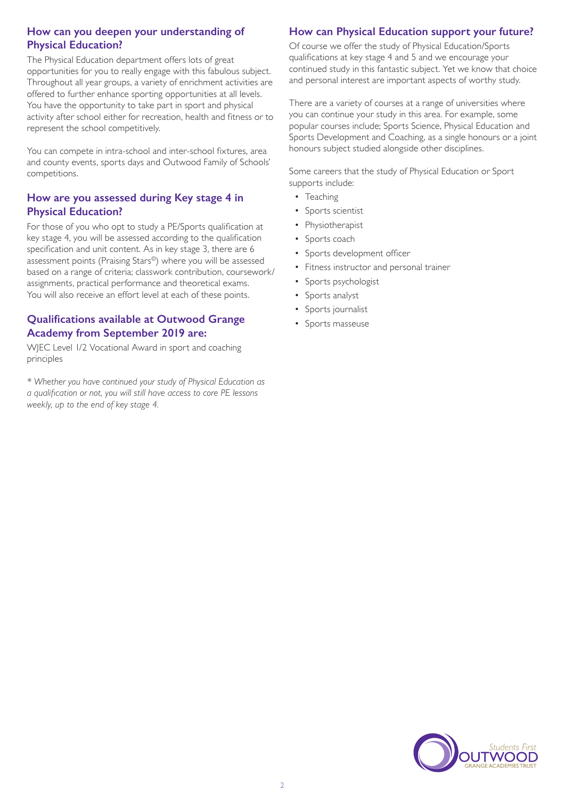### **How can you deepen your understanding of Physical Education?**

The Physical Education department offers lots of great opportunities for you to really engage with this fabulous subject. Throughout all year groups, a variety of enrichment activities are offered to further enhance sporting opportunities at all levels. You have the opportunity to take part in sport and physical activity after school either for recreation, health and fitness or to represent the school competitively.

You can compete in intra-school and inter-school fixtures, area and county events, sports days and Outwood Family of Schools' competitions.

### **How are you assessed during Key stage 4 in Physical Education?**

For those of you who opt to study a PE/Sports qualification at key stage 4, you will be assessed according to the qualification specification and unit content. As in key stage 3, there are 6 assessment points (Praising Stars©) where you will be assessed based on a range of criteria; classwork contribution, coursework/ assignments, practical performance and theoretical exams. You will also receive an effort level at each of these points.

# **Qualifications available at Outwood Grange Academy from September 2019 are:**

WJEC Level 1/2 Vocational Award in sport and coaching principles

*\* Whether you have continued your study of Physical Education as a qualification or not, you will still have access to core PE lessons weekly, up to the end of key stage 4.* 

# **How can Physical Education support your future?**

Of course we offer the study of Physical Education/Sports qualifications at key stage 4 and 5 and we encourage your continued study in this fantastic subject. Yet we know that choice and personal interest are important aspects of worthy study.

There are a variety of courses at a range of universities where you can continue your study in this area. For example, some popular courses include; Sports Science, Physical Education and Sports Development and Coaching, as a single honours or a joint honours subject studied alongside other disciplines.

Some careers that the study of Physical Education or Sport supports include:

- Teaching
- Sports scientist
- **Physiotherapist**
- Sports coach
- Sports development officer
- Fitness instructor and personal trainer
- Sports psychologist
- Sports analyst
- Sports journalist
- Sports masseuse